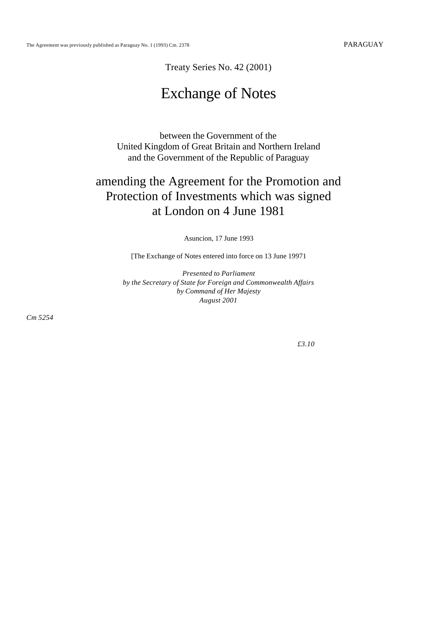Treaty Series No. 42 (2001)

# Exchange of Notes

between the Government of the United Kingdom of Great Britain and Northern Ireland and the Government of the Republic of Paraguay

# amending the Agreement for the Promotion and Protection of Investments which was signed at London on 4 June 1981

Asuncion, 17 June 1993

[The Exchange of Notes entered into force on 13 June 19971

*Presented to Parliament by the Secretary of State for Foreign and Commonwealth Affairs by Command of Her Majesty August 2001*

*Cm 5254*

*£3.10*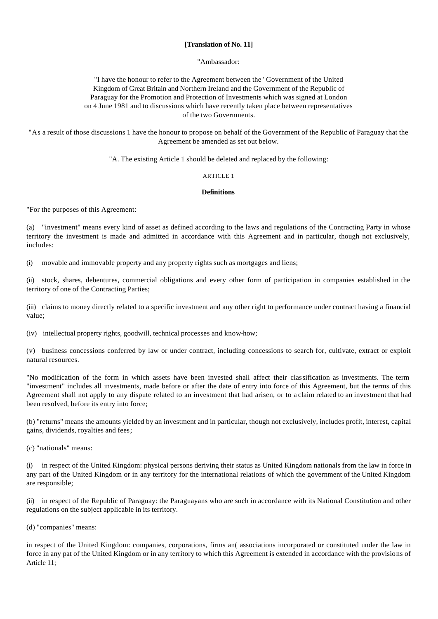# **[Translation of No. 11]**

#### "Ambassador:

"I have the honour to refer to the Agreement between the ' Government of the United Kingdom of Great Britain and Northern Ireland and the Government of the Republic of Paraguay for the Promotion and Protection of Investments which was signed at London on 4 June 1981 and to discussions which have recently taken place between representatives of the two Governments.

"As a result of those discussions 1 have the honour to propose on behalf of the Government of the Republic of Paraguay that the Agreement be amended as set out below.

"A. The existing Article 1 should be deleted and replaced by the following:

#### ARTICLE 1

#### **Definitions**

"For the purposes of this Agreement:

(a) "investment" means every kind of asset as defined according to the laws and regulations of the Contracting Party in whose territory the investment is made and admitted in accordance with this Agreement and in particular, though not exclusively, includes:

(i) movable and immovable property and any property rights such as mortgages and liens;

(ii) stock, shares, debentures, commercial obligations and every other form of participation in companies established in the territory of one of the Contracting Parties;

(iii) claims to money directly related to a specific investment and any other right to performance under contract having a financial value;

(iv) intellectual property rights, goodwill, technical processes and know-how;

(v) business concessions conferred by law or under contract, including concessions to search for, cultivate, extract or exploit natural resources.

"No modification of the form in which assets have been invested shall affect their classification as investments. The term "investment" includes all investments, made before or after the date of entry into force of this Agreement, but the terms of this Agreement shall not apply to any dispute related to an investment that had arisen, or to a claim related to an investment that had been resolved, before its entry into force;

(b) "returns" means the amounts yielded by an investment and in particular, though not exclusively, includes profit, interest, capital gains, dividends, royalties and fees;

(c) "nationals" means:

(i) in respect of the United Kingdom: physical persons deriving their status as United Kingdom nationals from the law in force in any part of the United Kingdom or in any territory for the international relations of which the government of the United Kingdom are responsible;

(ii) in respect of the Republic of Paraguay: the Paraguayans who are such in accordance with its National Constitution and other regulations on the subject applicable in its territory.

(d) "companies" means:

in respect of the United Kingdom: companies, corporations, firms an( associations incorporated or constituted under the law in force in any pat of the United Kingdom or in any territory to which this Agreement is extended in accordance with the provisions of Article 11;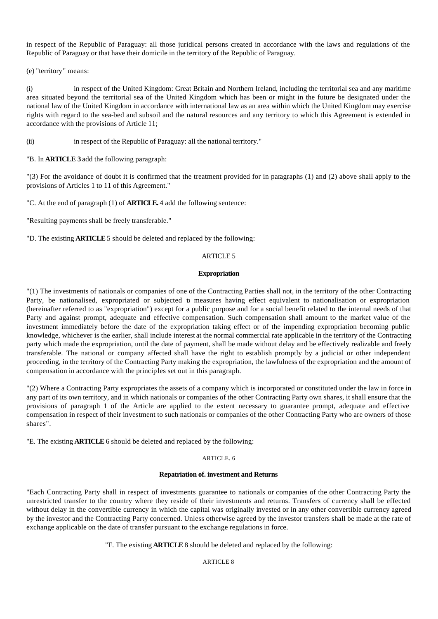in respect of the Republic of Paraguay: all those juridical persons created in accordance with the laws and regulations of the Republic of Paraguay or that have their domicile in the territory of the Republic of Paraguay.

(e) "territory" means:

(i) in respect of the United Kingdom: Great Britain and Northern Ireland, including the territorial sea and any maritime area situated beyond the territorial sea of the United Kingdom which has been or might in the future be designated under the national law of the United Kingdom in accordance with international law as an area within which the United Kingdom may exercise rights with regard to the sea-bed and subsoil and the natural resources and any territory to which this Agreement is extended in accordance with the provisions of Article 11;

(ii) in respect of the Republic of Paraguay: all the national territory."

"B. In **ARTICLE 3** add the following paragraph:

"(3) For the avoidance of doubt it is confirmed that the treatment provided for in paragraphs (1) and (2) above shall apply to the provisions of Articles 1 to 11 of this Agreement."

"C. At the end of paragraph (1) of **ARTICLE.** 4 add the following sentence:

"Resulting payments shall be freely transferable."

"D. The existing **ARTICLE** 5 should be deleted and replaced by the following:

# ARTICLE 5

# **Expropriation**

"(1) The investments of nationals or companies of one of the Contracting Parties shall not, in the territory of the other Contracting Party, be nationalised, expropriated or subjected to measures having effect equivalent to nationalisation or expropriation (hereinafter referred to as "expropriation") except for a public purpose and for a social benefit related to the internal needs of that Party and against prompt, adequate and effective compensation. Such compensation shall amount to the market value of the investment immediately before the date of the expropriation taking effect or of the impending expropriation becoming public knowledge, whichever is the earlier, shall include interest at the normal commercial rate applicable in the territory of the Contracting party which made the expropriation, until the date of payment, shall be made without delay and be effectively realizable and freely transferable. The national or company affected shall have the right to establish promptly by a judicial or other independent proceeding, in the territory of the Contracting Party making the expropriation, the lawfulness of the expropriation and the amount of compensation in accordance with the principles set out in this paragraph.

"(2) Where a Contracting Party expropriates the assets of a company which is incorporated or constituted under the law in force in any part of its own territory, and in which nationals or companies of the other Contracting Party own shares, it shall ensure that the provisions of paragraph 1 of the Article are applied to the extent necessary to guarantee prompt, adequate and effective compensation in respect of their investment to such nationals or companies of the other Contracting Party who are owners of those shares".

"E. The existing **ARTICLE** 6 should be deleted and replaced by the following:

# ARTICLE. 6

# **Repatriation of. investment and Returns**

"Each Contracting Party shall in respect of investments guarantee to nationals or companies of the other Contracting Party the unrestricted transfer to the country where they reside of their investments and returns. Transfers of currency shall be effected without delay in the convertible currency in which the capital was originally invested or in any other convertible currency agreed by the investor and the Contracting Party concerned. Unless otherwise agreed by the investor transfers shall be made at the rate of exchange applicable on the date of transfer pursuant to the exchange regulations in force.

"F. The existing **ARTICLE** 8 should be deleted and replaced by the following:

ARTICLE 8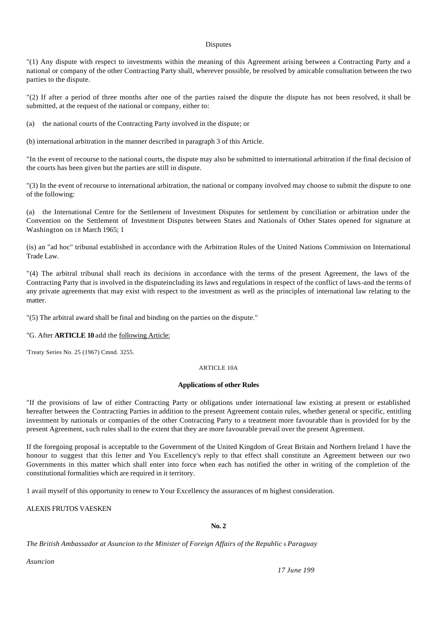#### Disputes

"(1) Any dispute with respect to investments within the meaning of this Agreement arising between a Contracting Party and a national or company of the other Contracting Party shall, wherever possible, be resolved by amicable consultation between the two parties to the dispute.

"(2) If after a period of three months after one of the parties raised the dispute the dispute has not been resolved, it shall be submitted, at the request of the national or company, either to:

(a) the national courts of the Contracting Party involved in the dispute; or

(b) international arbitration in the manner described in paragraph 3 of this Article.

"In the event of recourse to the national courts, the dispute may also be submitted to international arbitration if the final decision of the courts has been given but the parties are still in dispute.

"(3) In the event of recourse to international arbitration, the national or company involved may choose to submit the dispute to one of the following:

(a) the International Centre for the Settlement of Investment Disputes for settlement by conciliation or arbitration under the Convention on the Settlement of Investment Disputes between States and Nationals of Other States opened for signature at Washington on 18 March 1965; 1

(is) an "ad hoc" tribunal established in accordance with the Arbitration Rules of the United Nations Commission on International Trade Law.

"(4) The arbitral tribunal shall reach its decisions in accordance with the terms of the present Agreement, the laws of the Contracting Party that is involved in the disputeincluding its laws and regulations in respect of the conflict of laws-and the terms of any private agreements that may exist with respect to the investment as well as the principles of international law relating to the matter.

"(5) The arbitral award shall be final and binding on the parties on the dispute."

# "G. After **ARTICLE 10** add the following Article:

'Treaty Series No. 25 (1967) Cmnd. 3255.

# ARTICLE 10A

# **Applications of other Rules**

"If the provisions of law of either Contracting Party or obligations under international law existing at present or established hereafter between the Contracting Parties in addition to the present Agreement contain rules, whether general or specific, entitling investment by nationals or companies of the other Contracting Party to a treatment more favourable than is provided for by the present Agreement, such rules shall to the extent that they are more favourable prevail over the present Agreement.

If the foregoing proposal is acceptable to the Government of the United Kingdom of Great Britain and Northern Ireland 1 have the honour to suggest that this letter and You Excellency's reply to that effect shall constitute an Agreement between our two Governments in this matter which shall enter into force when each has notified the other in writing of the completion of the constitutional formalities which are required in it territory.

1 avail myself of this opportunity to renew to Your Excellency the assurances of m highest consideration.

ALEXIS FRUTOS VAESKEN

**No. 2**

*The British Ambassador at Asuncion to the Minister of Foreign Affairs of the Republic* 6 *Paraguay*

*Asuncion*